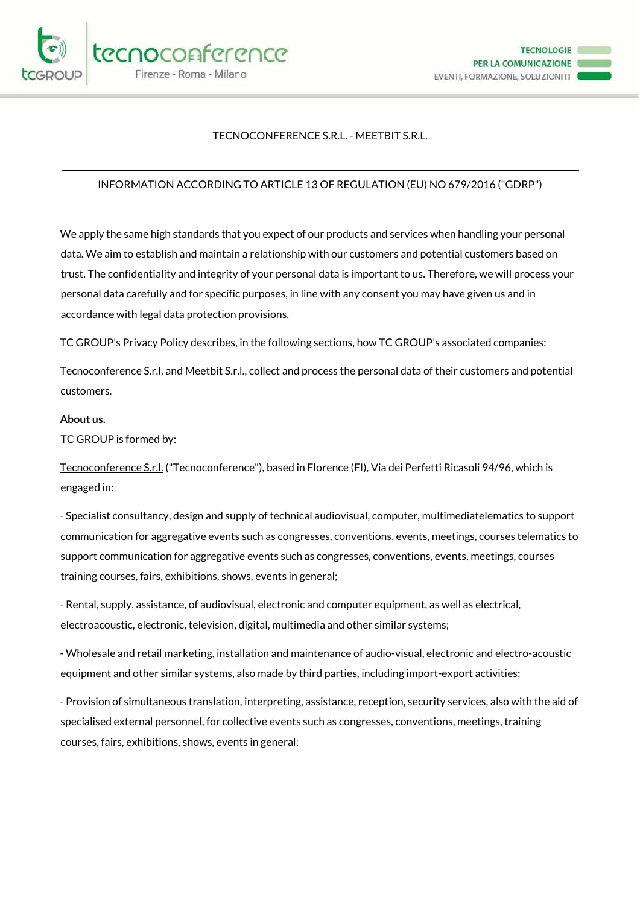

## TECNOCONFERENCE S.R.L. - MEETBIT S.R.L.

# INFORMATION ACCORDING TO ARTICLE 13 OF REGULATION (EU) NO 679/2016 ("GDRP")

We apply the same high standards that you expect of our products and services when handling your personal data. We aim to establish and maintain a relationship with our customers and potential customers based on trust. The confidentiality and integrity of your personal data is important to us. Therefore, we will process your personal data carefully and for specific purposes, in line with any consent you may have given us and in accordance with legal data protection provisions.

TC GROUP's Privacy Policy describes, in the following sections, how TC GROUP's associated companies:

Tecnoconference S.r.l. and Meetbit S.r.l., collect and process the personal data of their customers and potential customers.

#### **About us.**

TC GROUP is formed by:

Tecnoconference S.r.l. ("Tecnoconference"), based in Florence (FI), Via dei Perfetti Ricasoli 94/96, which is engaged in:

- Specialist consultancy, design and supply of technical audiovisual, computer, multimediatelematics to support communication for aggregative events such as congresses, conventions, events, meetings, courses telematics to support communication for aggregative events such as congresses, conventions, events, meetings, courses training courses, fairs, exhibitions, shows, events in general;

- Rental, supply, assistance, of audiovisual, electronic and computer equipment, as well as electrical, electroacoustic, electronic, television, digital, multimedia and other similar systems;

- Wholesale and retail marketing, installation and maintenance of audio-visual, electronic and electro-acoustic equipment and other similar systems, also made by third parties, including import-export activities;

- Provision of simultaneous translation, interpreting, assistance, reception, security services, also with the aid of specialised external personnel, for collective events such as congresses, conventions, meetings, training courses, fairs, exhibitions, shows, events in general;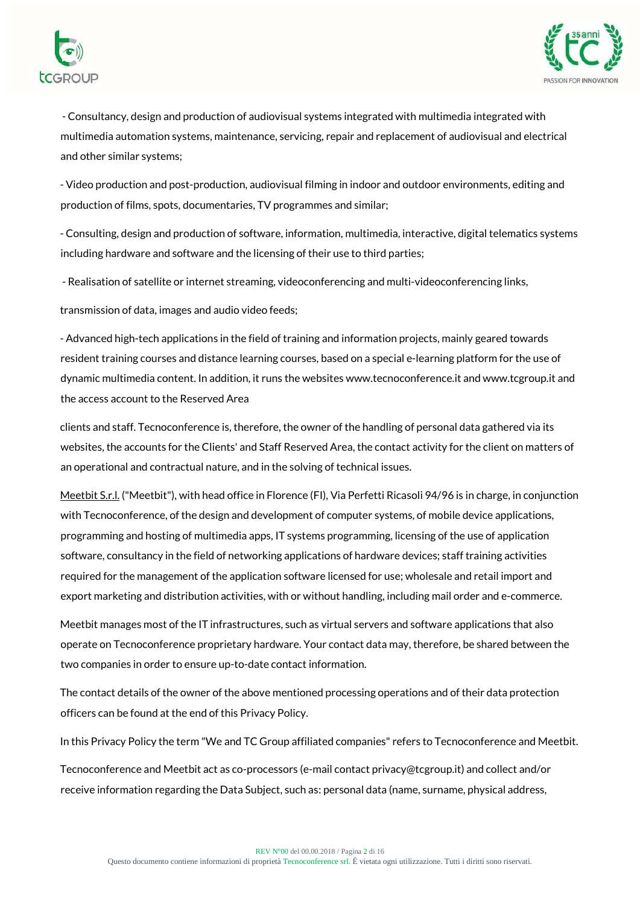



- Consultancy, design and production of audiovisual systems integrated with multimedia integrated with multimedia automation systems, maintenance, servicing, repair and replacement of audiovisual and electrical and other similar systems;

- Video production and post-production, audiovisual filming in indoor and outdoor environments, editing and production of films, spots, documentaries, TV programmes and similar;

- Consulting, design and production of software, information, multimedia, interactive, digital telematics systems including hardware and software and the licensing of their use to third parties;

- Realisation of satellite or internet streaming, videoconferencing and multi-videoconferencing links,

transmission of data, images and audio video feeds;

- Advanced high-tech applications in the field of training and information projects, mainly geared towards resident training courses and distance learning courses, based on a special e-learning platform for the use of dynamic multimedia content. In addition, it runs the websites www.tecnoconference.it and www.tcgroup.it and the access account to the Reserved Area

clients and staff. Tecnoconference is, therefore, the owner of the handling of personal data gathered via its websites, the accounts for the Clients' and Staff Reserved Area, the contact activity for the client on matters of an operational and contractual nature, and in the solving of technical issues.

Meetbit S.r.l. ("Meetbit"), with head office in Florence (FI), Via Perfetti Ricasoli 94/96 is in charge, in conjunction with Tecnoconference, of the design and development of computer systems, of mobile device applications, programming and hosting of multimedia apps, IT systems programming, licensing of the use of application software, consultancy in the field of networking applications of hardware devices; staff training activities required for the management of the application software licensed for use; wholesale and retail import and export marketing and distribution activities, with or without handling, including mail order and e-commerce.

Meetbit manages most of the IT infrastructures, such as virtual servers and software applications that also operate on Tecnoconference proprietary hardware. Your contact data may, therefore, be shared between the two companies in order to ensure up-to-date contact information.

The contact details of the owner of the above mentioned processing operations and of their data protection officers can be found at the end of this Privacy Policy.

In this Privacy Policy the term "We and TC Group affiliated companies" refers to Tecnoconference and Meetbit.

Tecnoconference and Meetbit act as co-processors (e-mail contact privacy@tcgroup.it) and collect and/or receive information regarding the Data Subject, such as: personal data (name, surname, physical address,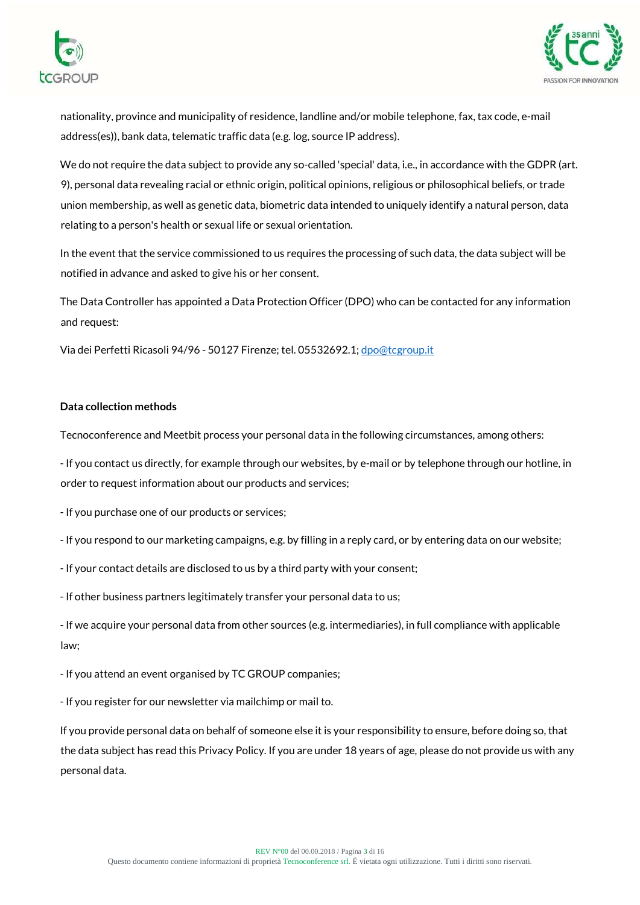



nationality, province and municipality of residence, landline and/or mobile telephone, fax, tax code, e-mail address(es)), bank data, telematic traffic data (e.g. log, source IP address).

We do not require the data subject to provide any so-called 'special' data, i.e., in accordance with the GDPR (art. 9), personal data revealing racial or ethnic origin, political opinions, religious or philosophical beliefs, or trade union membership, as well as genetic data, biometric data intended to uniquely identify a natural person, data relating to a person's health or sexual life or sexual orientation.

In the event that the service commissioned to us requires the processing of such data, the data subject will be notified in advance and asked to give his or her consent.

The Data Controller has appointed a Data Protection Officer (DPO) who can be contacted for any information and request:

Via dei Perfetti Ricasoli 94/96 - 50127 Firenze; tel. 05532692.1[; dpo@tcgroup.it](mailto:dpo@tcgroup.it)

# **Data collection methods**

Tecnoconference and Meetbit process your personal data in the following circumstances, among others:

- If you contact us directly, for example through our websites, by e-mail or by telephone through our hotline, in order to request information about our products and services;

- If you purchase one of our products or services;

- If you respond to our marketing campaigns, e.g. by filling in a reply card, or by entering data on our website;

- If your contact details are disclosed to us by a third party with your consent;

- If other business partners legitimately transfer your personal data to us;

- If we acquire your personal data from other sources (e.g. intermediaries), in full compliance with applicable law;

- If you attend an event organised by TC GROUP companies;

- If you register for our newsletter via mailchimp or mail to.

If you provide personal data on behalf of someone else it is your responsibility to ensure, before doing so, that the data subject has read this Privacy Policy. If you are under 18 years of age, please do not provide us with any personal data.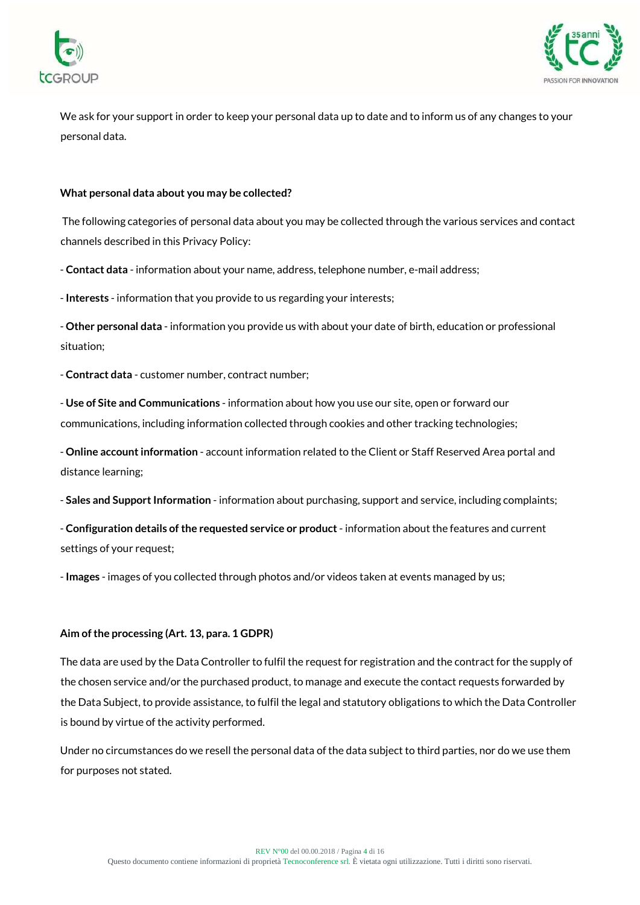



We ask for your support in order to keep your personal data up to date and to inform us of any changes to your personal data.

#### **What personal data about you may be collected?**

The following categories of personal data about you may be collected through the various services and contact channels described in this Privacy Policy:

- **Contact data** - information about your name, address, telephone number, e-mail address;

- **Interests** - information that you provide to us regarding your interests;

- **Other personal data** - information you provide us with about your date of birth, education or professional situation;

- **Contract data** - customer number, contract number;

- **Use of Site and Communications** - information about how you use our site, open or forward our communications, including information collected through cookies and other tracking technologies;

- **Online account information** - account information related to the Client or Staff Reserved Area portal and distance learning;

- **Sales and Support Information** - information about purchasing, support and service, including complaints;

- **Configuration details of the requested service or product**- information about the features and current settings of your request;

- **Images** - images of you collected through photos and/or videos taken at events managed by us;

#### **Aim of the processing (Art. 13, para. 1 GDPR)**

The data are used by the Data Controller to fulfil the request for registration and the contract for the supply of the chosen service and/or the purchased product, to manage and execute the contact requests forwarded by the Data Subject, to provide assistance, to fulfil the legal and statutory obligations to which the Data Controller is bound by virtue of the activity performed.

Under no circumstances do we resell the personal data of the data subject to third parties, nor do we use them for purposes not stated.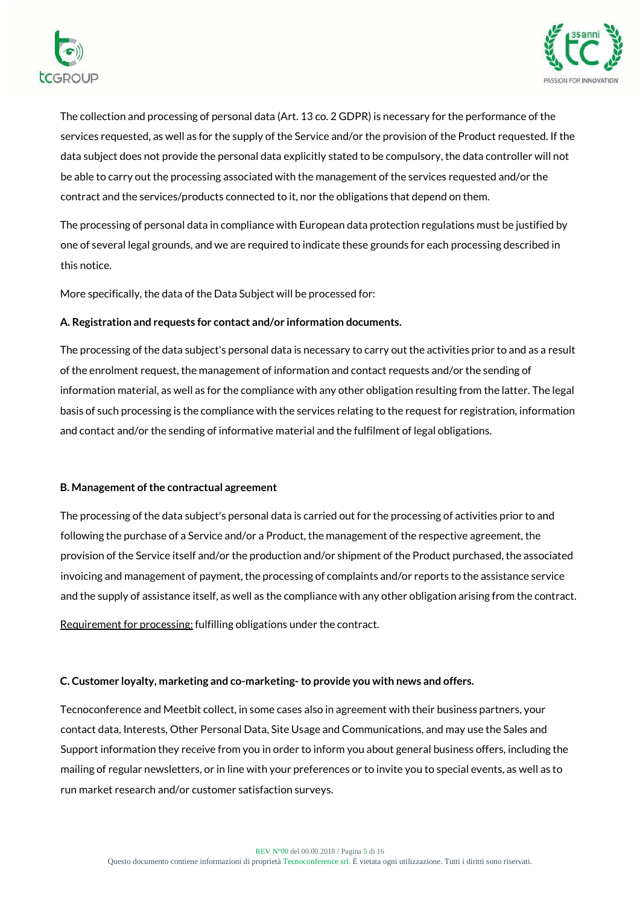



The collection and processing of personal data (Art. 13 co. 2 GDPR) is necessary for the performance of the services requested, as well as for the supply of the Service and/or the provision of the Product requested. If the data subject does not provide the personal data explicitly stated to be compulsory, the data controller will not be able to carry out the processing associated with the management of the services requested and/or the contract and the services/products connected to it, nor the obligations that depend on them.

The processing of personal data in compliance with European data protection regulations must be justified by one of several legal grounds, and we are required to indicate these grounds for each processing described in this notice.

More specifically, the data of the Data Subject will be processed for:

# **A. Registration and requests for contact and/or information documents.**

The processing of the data subject's personal data is necessary to carry out the activities prior to and as a result of the enrolment request, the management of information and contact requests and/or the sending of information material, as well as for the compliance with any other obligation resulting from the latter. The legal basis of such processing is the compliance with the services relating to the request for registration, information and contact and/or the sending of informative material and the fulfilment of legal obligations.

## **B. Management of the contractual agreement**

The processing of the data subject's personal data is carried out for the processing of activities prior to and following the purchase of a Service and/or a Product, the management of the respective agreement, the provision of the Service itself and/or the production and/or shipment of the Product purchased, the associated invoicing and management of payment, the processing of complaints and/or reports to the assistance service and the supply of assistance itself, as well as the compliance with any other obligation arising from the contract.

Requirement for processing: fulfilling obligations under the contract.

## **C. Customer loyalty, marketing and co-marketing- to provide you with news and offers.**

Tecnoconference and Meetbit collect, in some cases also in agreement with their business partners, your contact data, Interests, Other Personal Data, Site Usage and Communications, and may use the Sales and Support information they receive from you in order to inform you about general business offers, including the mailing of regular newsletters, or in line with your preferences or to invite you to special events, as well as to run market research and/or customer satisfaction surveys.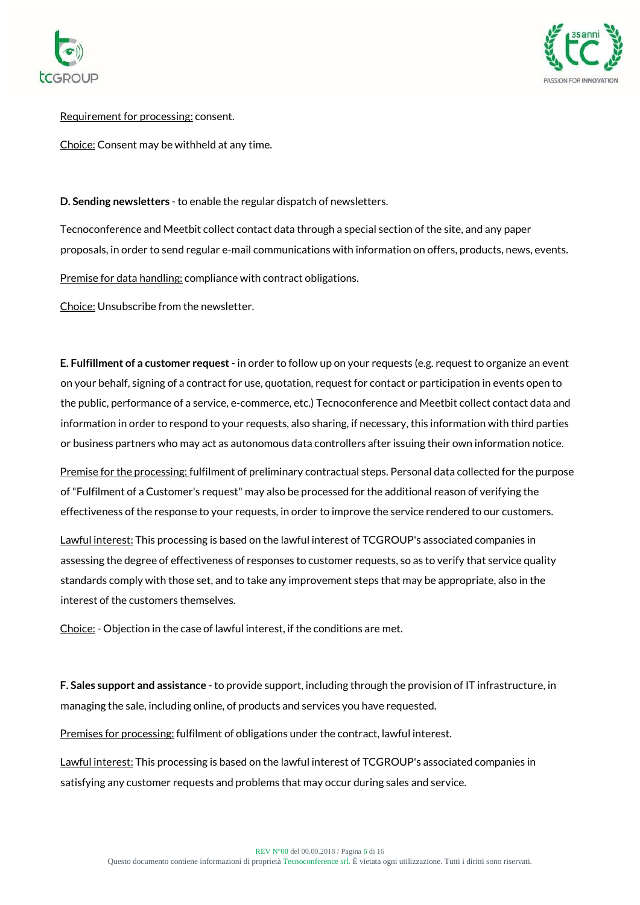



Requirement for processing: consent.

Choice: Consent may be withheld at any time.

**D. Sending newsletters** - to enable the regular dispatch of newsletters.

Tecnoconference and Meetbit collect contact data through a special section of the site, and any paper proposals, in order to send regular e-mail communications with information on offers, products, news, events.

Premise for data handling: compliance with contract obligations.

Choice: Unsubscribe from the newsletter.

**E. Fulfillment of a customer request**- in order to follow up on your requests (e.g. request to organize an event on your behalf, signing of a contract for use, quotation, request for contact or participation in events open to the public, performance of a service, e-commerce, etc.) Tecnoconference and Meetbit collect contact data and information in order to respond to your requests, also sharing, if necessary, this information with third parties or business partners who may act as autonomous data controllers after issuing their own information notice.

Premise for the processing: fulfilment of preliminary contractual steps. Personal data collected for the purpose of "Fulfilment of a Customer's request" may also be processed for the additional reason of verifying the effectiveness of the response to your requests, in order to improve the service rendered to our customers.

Lawful interest: This processing is based on the lawful interest of TCGROUP's associated companies in assessing the degree of effectiveness of responses to customer requests, so as to verify that service quality standards comply with those set, and to take any improvement steps that may be appropriate, also in the interest of the customers themselves.

Choice: - Objection in the case of lawful interest, if the conditions are met.

**F. Sales support and assistance** - to provide support, including through the provision of IT infrastructure, in managing the sale, including online, of products and services you have requested.

Premises for processing: fulfilment of obligations under the contract, lawful interest.

Lawful interest: This processing is based on the lawful interest of TCGROUP's associated companies in satisfying any customer requests and problems that may occur during sales and service.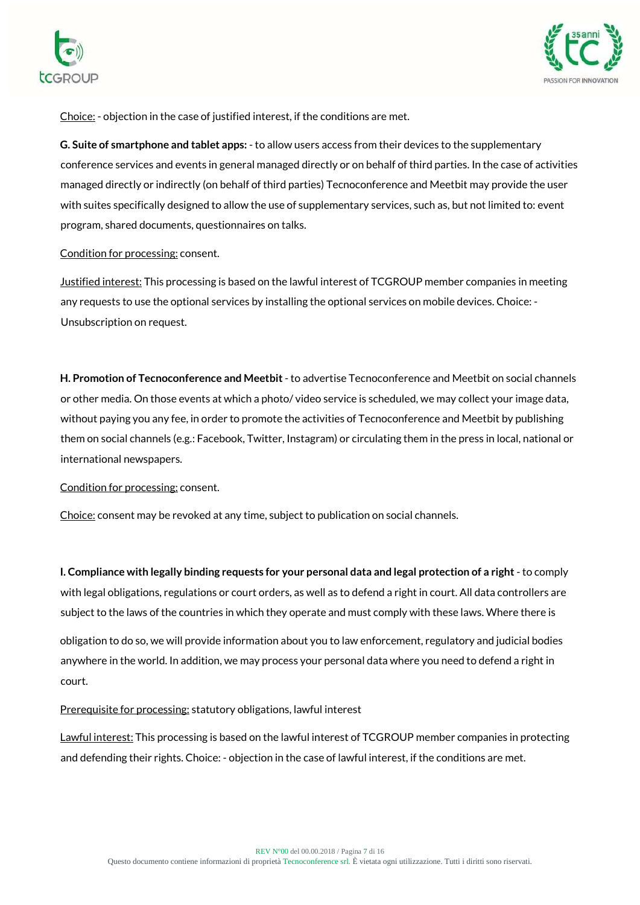



Choice: - objection in the case of justified interest, if the conditions are met.

**G. Suite of smartphone and tablet apps:** - to allow users access from their devices to the supplementary conference services and events in general managed directly or on behalf of third parties. In the case of activities managed directly or indirectly (on behalf of third parties) Tecnoconference and Meetbit may provide the user with suites specifically designed to allow the use of supplementary services, such as, but not limited to: event program, shared documents, questionnaires on talks.

#### Condition for processing: consent.

Justified interest: This processing is based on the lawful interest of TCGROUP member companies in meeting any requests to use the optional services by installing the optional services on mobile devices. Choice: - Unsubscription on request.

**H. Promotion of Tecnoconference and Meetbit**- to advertise Tecnoconference and Meetbit on social channels or other media. On those events at which a photo/ video service is scheduled, we may collect your image data, without paying you any fee, in order to promote the activities of Tecnoconference and Meetbit by publishing them on social channels (e.g.: Facebook, Twitter, Instagram) or circulating them in the press in local, national or international newspapers.

## Condition for processing: consent.

Choice: consent may be revoked at any time, subject to publication on social channels.

**I. Compliance with legally binding requests for your personal data and legal protection of a right** - to comply with legal obligations, regulations or court orders, as well as to defend a right in court. All data controllers are subject to the laws of the countries in which they operate and must comply with these laws. Where there is

obligation to do so, we will provide information about you to law enforcement, regulatory and judicial bodies anywhere in the world. In addition, we may process your personal data where you need to defend a right in court.

## Prerequisite for processing: statutory obligations, lawful interest

Lawful interest: This processing is based on the lawful interest of TCGROUP member companies in protecting and defending their rights. Choice: - objection in the case of lawful interest, if the conditions are met.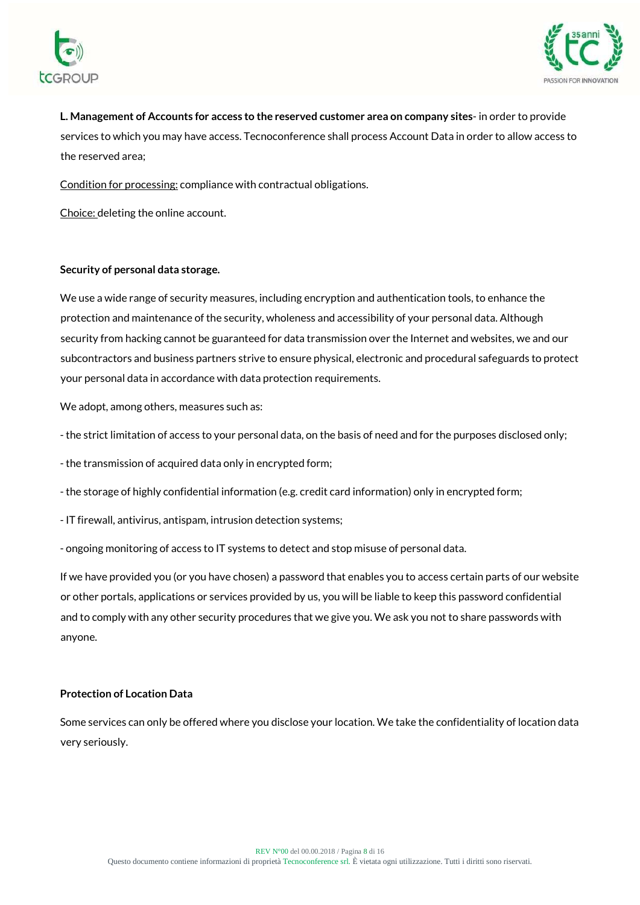



**L. Management of Accounts for access to the reserved customer area on company sites**- in order to provide services to which you may have access. Tecnoconference shall process Account Data in order to allow access to the reserved area;

Condition for processing: compliance with contractual obligations.

Choice: deleting the online account.

## **Security of personal data storage.**

We use a wide range of security measures, including encryption and authentication tools, to enhance the protection and maintenance of the security, wholeness and accessibility of your personal data. Although security from hacking cannot be guaranteed for data transmission over the Internet and websites, we and our subcontractors and business partners strive to ensure physical, electronic and procedural safeguards to protect your personal data in accordance with data protection requirements.

We adopt, among others, measures such as:

- the strict limitation of access to your personal data, on the basis of need and for the purposes disclosed only;

- the transmission of acquired data only in encrypted form;

- the storage of highly confidential information (e.g. credit card information) only in encrypted form;

- IT firewall, antivirus, antispam, intrusion detection systems;

- ongoing monitoring of access to IT systems to detect and stop misuse of personal data.

If we have provided you (or you have chosen) a password that enables you to access certain parts of our website or other portals, applications or services provided by us, you will be liable to keep this password confidential and to comply with any other security procedures that we give you. We ask you not to share passwords with anyone.

## **Protection of Location Data**

Some services can only be offered where you disclose your location. We take the confidentiality of location data very seriously.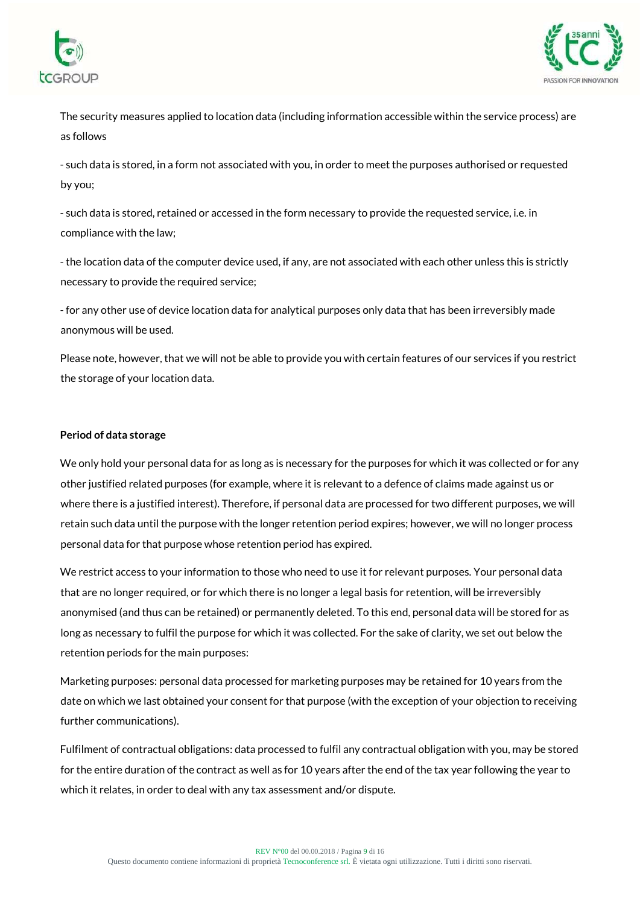



The security measures applied to location data (including information accessible within the service process) are as follows

- such data is stored, in a form not associated with you, in order to meet the purposes authorised or requested by you;

- such data is stored, retained or accessed in the form necessary to provide the requested service, i.e. in compliance with the law;

- the location data of the computer device used, if any, are not associated with each other unless this is strictly necessary to provide the required service;

- for any other use of device location data for analytical purposes only data that has been irreversibly made anonymous will be used.

Please note, however, that we will not be able to provide you with certain features of our services if you restrict the storage of your location data.

# **Period of data storage**

We only hold your personal data for as long as is necessary for the purposes for which it was collected or for any other justified related purposes (for example, where it is relevant to a defence of claims made against us or where there is a justified interest). Therefore, if personal data are processed for two different purposes, we will retain such data until the purpose with the longer retention period expires; however, we will no longer process personal data for that purpose whose retention period has expired.

We restrict access to your information to those who need to use it for relevant purposes. Your personal data that are no longer required, or for which there is no longer a legal basis for retention, will be irreversibly anonymised (and thus can be retained) or permanently deleted. To this end, personal data will be stored for as long as necessary to fulfil the purpose for which it was collected. For the sake of clarity, we set out below the retention periods for the main purposes:

Marketing purposes: personal data processed for marketing purposes may be retained for 10 years from the date on which we last obtained your consent for that purpose (with the exception of your objection to receiving further communications).

Fulfilment of contractual obligations: data processed to fulfil any contractual obligation with you, may be stored for the entire duration of the contract as well as for 10 years after the end of the tax year following the year to which it relates, in order to deal with any tax assessment and/or dispute.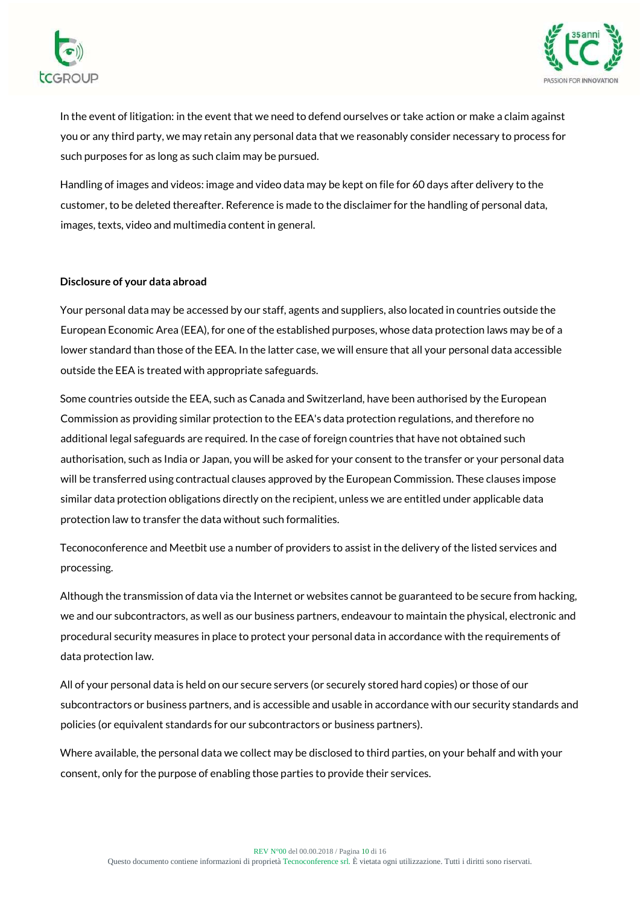



In the event of litigation: in the event that we need to defend ourselves or take action or make a claim against you or any third party, we may retain any personal data that we reasonably consider necessary to process for such purposes for as long as such claim may be pursued.

Handling of images and videos: image and video data may be kept on file for 60 days after delivery to the customer, to be deleted thereafter. Reference is made to the disclaimer for the handling of personal data, images, texts, video and multimedia content in general.

## **Disclosure of your data abroad**

Your personal data may be accessed by our staff, agents and suppliers, also located in countries outside the European Economic Area (EEA), for one of the established purposes, whose data protection laws may be of a lower standard than those of the EEA. In the latter case, we will ensure that all your personal data accessible outside the EEA is treated with appropriate safeguards.

Some countries outside the EEA, such as Canada and Switzerland, have been authorised by the European Commission as providing similar protection to the EEA's data protection regulations, and therefore no additional legal safeguards are required. In the case of foreign countries that have not obtained such authorisation, such as India or Japan, you will be asked for your consent to the transfer or your personal data will be transferred using contractual clauses approved by the European Commission. These clauses impose similar data protection obligations directly on the recipient, unless we are entitled under applicable data protection law to transfer the data without such formalities.

Teconoconference and Meetbit use a number of providers to assist in the delivery of the listed services and processing.

Although the transmission of data via the Internet or websites cannot be guaranteed to be secure from hacking, we and our subcontractors, as well as our business partners, endeavour to maintain the physical, electronic and procedural security measures in place to protect your personal data in accordance with the requirements of data protection law.

All of your personal data is held on our secure servers (or securely stored hard copies) or those of our subcontractors or business partners, and is accessible and usable in accordance with our security standards and policies (or equivalent standards for our subcontractors or business partners).

Where available, the personal data we collect may be disclosed to third parties, on your behalf and with your consent, only for the purpose of enabling those parties to provide their services.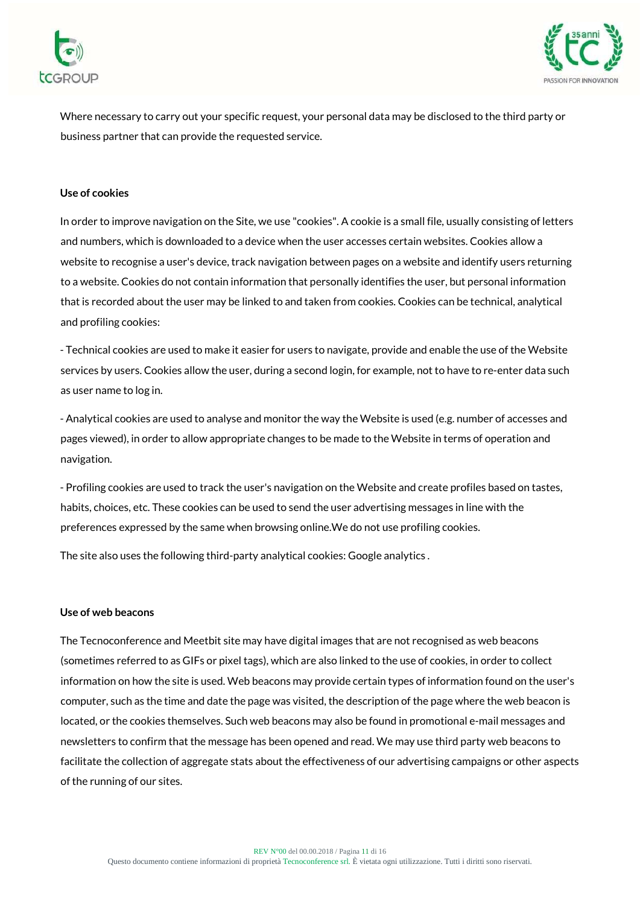



Where necessary to carry out your specific request, your personal data may be disclosed to the third party or business partner that can provide the requested service.

#### **Use of cookies**

In order to improve navigation on the Site, we use "cookies". A cookie is a small file, usually consisting of letters and numbers, which is downloaded to a device when the user accesses certain websites. Cookies allow a website to recognise a user's device, track navigation between pages on a website and identify users returning to a website. Cookies do not contain information that personally identifies the user, but personal information that is recorded about the user may be linked to and taken from cookies. Cookies can be technical, analytical and profiling cookies:

- Technical cookies are used to make it easier for users to navigate, provide and enable the use of the Website services by users. Cookies allow the user, during a second login, for example, not to have to re-enter data such as user name to log in.

- Analytical cookies are used to analyse and monitor the way the Website is used (e.g. number of accesses and pages viewed), in order to allow appropriate changes to be made to the Website in terms of operation and navigation.

- Profiling cookies are used to track the user's navigation on the Website and create profiles based on tastes, habits, choices, etc. These cookies can be used to send the user advertising messages in line with the preferences expressed by the same when browsing online.We do not use profiling cookies.

The site also uses the following third-party analytical cookies: Google analytics .

#### **Use of web beacons**

The Tecnoconference and Meetbit site may have digital images that are not recognised as web beacons (sometimes referred to as GIFs or pixel tags), which are also linked to the use of cookies, in order to collect information on how the site is used. Web beacons may provide certain types of information found on the user's computer, such as the time and date the page was visited, the description of the page where the web beacon is located, or the cookies themselves. Such web beacons may also be found in promotional e-mail messages and newsletters to confirm that the message has been opened and read. We may use third party web beacons to facilitate the collection of aggregate stats about the effectiveness of our advertising campaigns or other aspects of the running of our sites.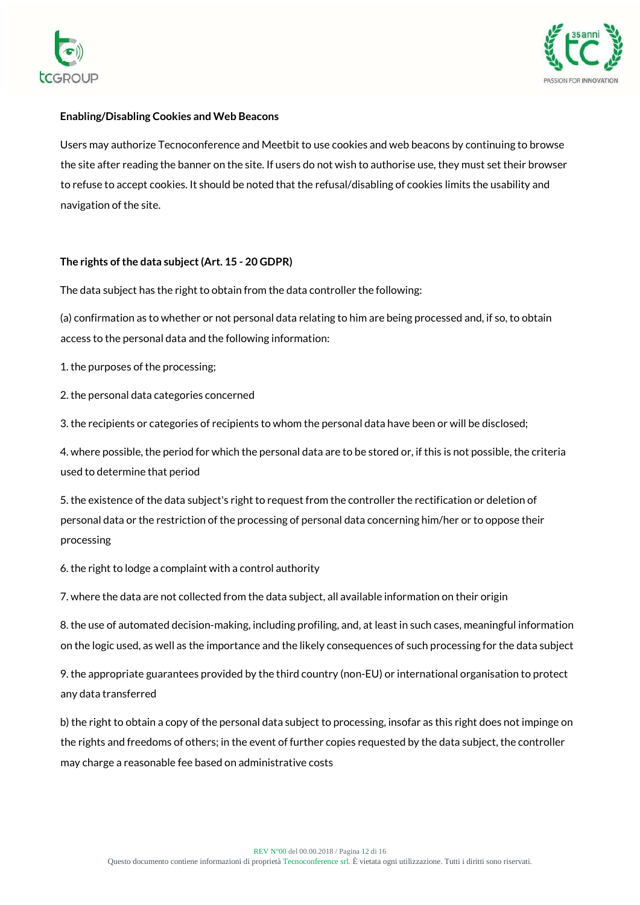



# **Enabling/Disabling Cookies and Web Beacons**

Users may authorize Tecnoconference and Meetbit to use cookies and web beacons by continuing to browse the site after reading the banner on the site. If users do not wish to authorise use, they must set their browser to refuse to accept cookies. It should be noted that the refusal/disabling of cookies limits the usability and navigation of the site.

# **The rights of the data subject (Art. 15 - 20 GDPR)**

The data subject has the right to obtain from the data controller the following:

(a) confirmation as to whether or not personal data relating to him are being processed and, if so, to obtain access to the personal data and the following information:

1. the purposes of the processing;

2. the personal data categories concerned

3. the recipients or categories of recipients to whom the personal data have been or will be disclosed;

4. where possible, the period for which the personal data are to be stored or, if this is not possible, the criteria used to determine that period

5. the existence of the data subject's right to request from the controller the rectification or deletion of personal data or the restriction of the processing of personal data concerning him/her or to oppose their processing

6. the right to lodge a complaint with a control authority

7. where the data are not collected from the data subject, all available information on their origin

8. the use of automated decision-making, including profiling, and, at least in such cases, meaningful information on the logic used, as well as the importance and the likely consequences of such processing for the data subject

9. the appropriate guarantees provided by the third country (non-EU) or international organisation to protect any data transferred

b) the right to obtain a copy of the personal data subject to processing, insofar as this right does not impinge on the rights and freedoms of others; in the event of further copies requested by the data subject, the controller may charge a reasonable fee based on administrative costs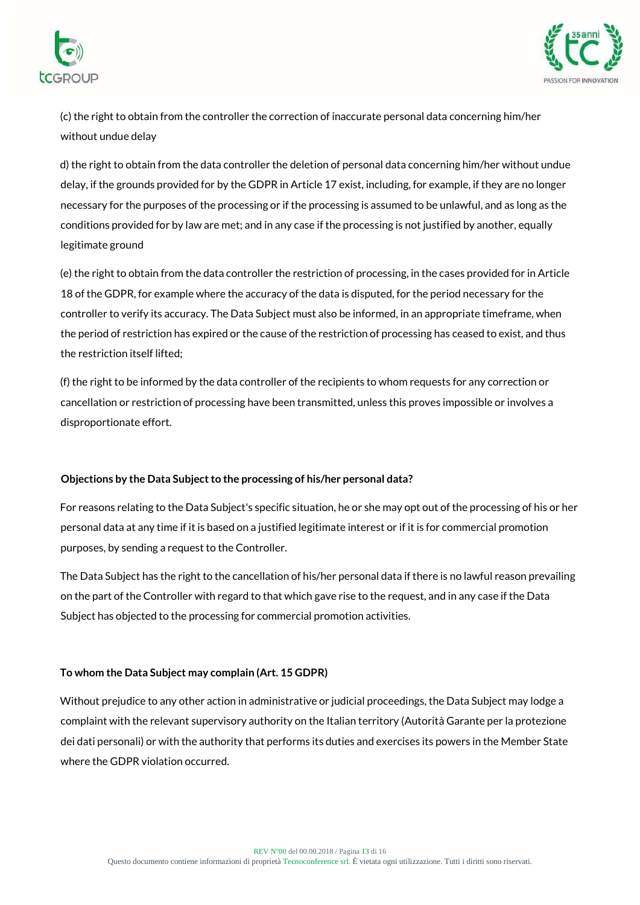



(c) the right to obtain from the controller the correction of inaccurate personal data concerning him/her without undue delay

d) the right to obtain from the data controller the deletion of personal data concerning him/her without undue delay, if the grounds provided for by the GDPR in Article 17 exist, including, for example, if they are no longer necessary for the purposes of the processing or if the processing is assumed to be unlawful, and as long as the conditions provided for by law are met; and in any case if the processing is not justified by another, equally legitimate ground

(e) the right to obtain from the data controller the restriction of processing, in the cases provided for in Article 18 of the GDPR, for example where the accuracy of the data is disputed, for the period necessary for the controller to verify its accuracy. The Data Subject must also be informed, in an appropriate timeframe, when the period of restriction has expired or the cause of the restriction of processing has ceased to exist, and thus the restriction itself lifted;

(f) the right to be informed by the data controller of the recipients to whom requests for any correction or cancellation or restriction of processing have been transmitted, unless this proves impossible or involves a disproportionate effort.

## **Objections by the Data Subject to the processing of his/her personal data?**

For reasons relating to the Data Subject's specific situation, he or she may opt out of the processing of his or her personal data at any time if it is based on a justified legitimate interest or if it is for commercial promotion purposes, by sending a request to the Controller.

The Data Subject has the right to the cancellation of his/her personal data if there is no lawful reason prevailing on the part of the Controller with regard to that which gave rise to the request, and in any case if the Data Subject has objected to the processing for commercial promotion activities.

## **To whom the Data Subject may complain (Art. 15 GDPR)**

Without prejudice to any other action in administrative or judicial proceedings, the Data Subject may lodge a complaint with the relevant supervisory authority on the Italian territory (Autorità Garante per la protezione dei dati personali) or with the authority that performs its duties and exercises its powers in the Member State where the GDPR violation occurred.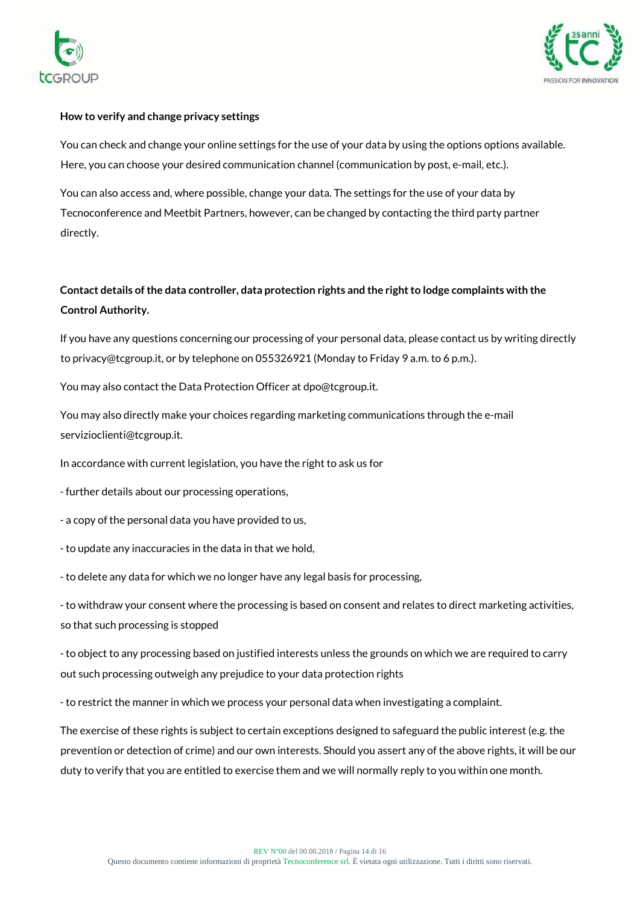



#### **How to verify and change privacy settings**

You can check and change your online settings for the use of your data by using the options options available. Here, you can choose your desired communication channel (communication by post, e-mail, etc.).

You can also access and, where possible, change your data. The settings for the use of your data by Tecnoconference and Meetbit Partners, however, can be changed by contacting the third party partner directly.

# **Contact details of the data controller, data protection rights and the right to lodge complaints with the Control Authority.**

If you have any questions concerning our processing of your personal data, please contact us by writing directly to privacy@tcgroup.it, or by telephone on 055326921 (Monday to Friday 9 a.m. to 6 p.m.).

You may also contact the Data Protection Officer at dpo@tcgroup.it.

You may also directly make your choices regarding marketing communications through the e-mail servizioclienti@tcgroup.it.

In accordance with current legislation, you have the right to ask us for

- further details about our processing operations,

- a copy of the personal data you have provided to us,

- to update any inaccuracies in the data in that we hold,

- to delete any data for which we no longer have any legal basis for processing,

- to withdraw your consent where the processing is based on consent and relates to direct marketing activities, so that such processing is stopped

- to object to any processing based on justified interests unless the grounds on which we are required to carry out such processing outweigh any prejudice to your data protection rights

- to restrict the manner in which we process your personal data when investigating a complaint.

The exercise of these rights is subject to certain exceptions designed to safeguard the public interest (e.g. the prevention or detection of crime) and our own interests. Should you assert any of the above rights, it will be our duty to verify that you are entitled to exercise them and we will normally reply to you within one month.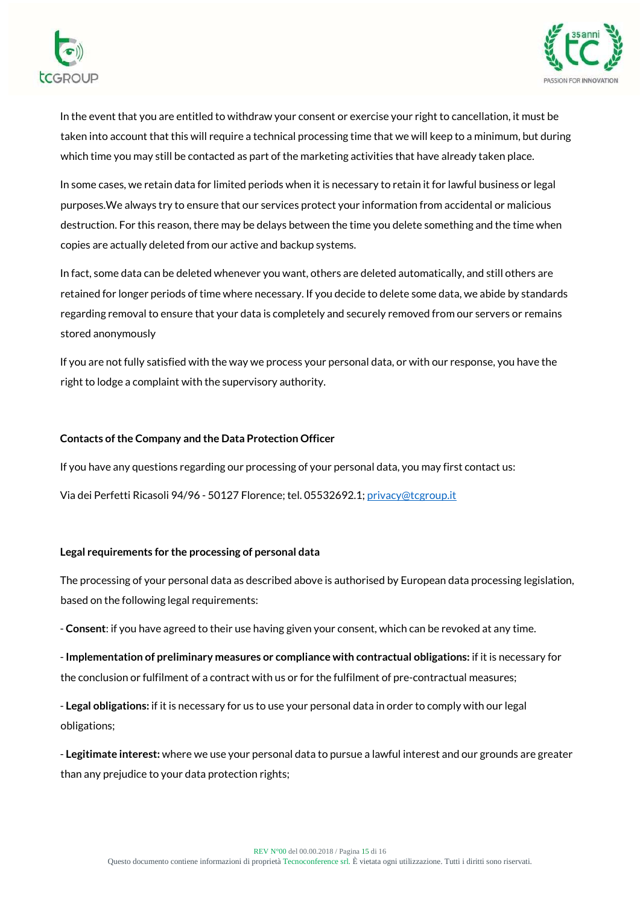



In the event that you are entitled to withdraw your consent or exercise your right to cancellation, it must be taken into account that this will require a technical processing time that we will keep to a minimum, but during which time you may still be contacted as part of the marketing activities that have already taken place.

In some cases, we retain data for limited periods when it is necessary to retain it for lawful business or legal purposes.We always try to ensure that our services protect your information from accidental or malicious destruction. For this reason, there may be delays between the time you delete something and the time when copies are actually deleted from our active and backup systems.

In fact, some data can be deleted whenever you want, others are deleted automatically, and still others are retained for longer periods of time where necessary. If you decide to delete some data, we abide by standards regarding removal to ensure that your data is completely and securely removed from our servers or remains stored anonymously

If you are not fully satisfied with the way we process your personal data, or with our response, you have the right to lodge a complaint with the supervisory authority.

#### **Contacts of the Company and the Data Protection Officer**

If you have any questions regarding our processing of your personal data, you may first contact us:

Via dei Perfetti Ricasoli 94/96 - 50127 Florence; tel. 05532692.1[; privacy@tcgroup.it](mailto:privacy@tcgroup.it)

#### **Legal requirements for the processing of personal data**

The processing of your personal data as described above is authorised by European data processing legislation, based on the following legal requirements:

- **Consent**: if you have agreed to their use having given your consent, which can be revoked at any time.

- **Implementation of preliminary measures or compliance with contractual obligations:** if it is necessary for the conclusion or fulfilment of a contract with us or for the fulfilment of pre-contractual measures;

- **Legal obligations:** if it is necessary for us to use your personal data in order to comply with our legal obligations;

- **Legitimate interest:** where we use your personal data to pursue a lawful interest and our grounds are greater than any prejudice to your data protection rights;